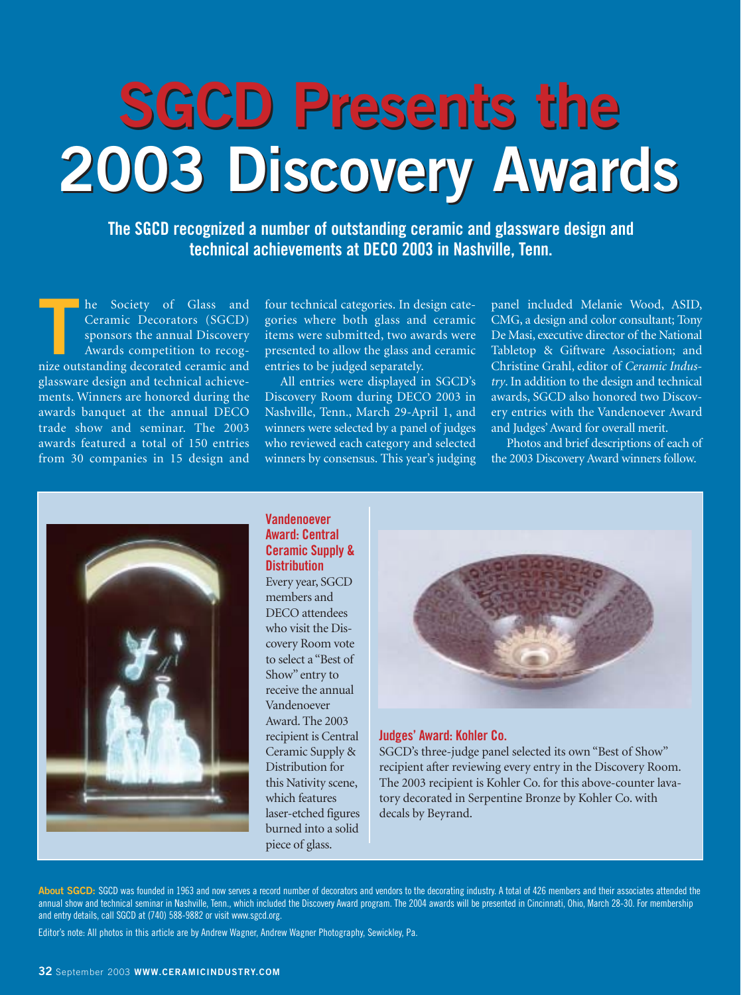# **SGCD Presents the SGCD Presents the 2003 Discovery Awards 2003 Discovery Awards**

**The SGCD recognized a number of outstanding ceramic and glassware design and technical achievements at DECO 2003 in Nashville, Tenn.**

**THE SERVIET OF SOCIETY OF GLASS and Ceramic Decorators (SGCD) sponsors the annual Discovery Awards competition to recognize outstanding decorated ceramic and** he Society of Glass and Ceramic Decorators (SGCD) sponsors the annual Discovery Awards competition to recogglassware design and technical achievements. Winners are honored during the awards banquet at the annual DECO trade show and seminar. The 2003 awards featured a total of 150 entries from 30 companies in 15 design and

four technical categories. In design categories where both glass and ceramic items were submitted, two awards were presented to allow the glass and ceramic entries to be judged separately.

All entries were displayed in SGCD's Discovery Room during DECO 2003 in Nashville, Tenn., March 29-April 1, and winners were selected by a panel of judges who reviewed each category and selected winners by consensus. This year's judging panel included Melanie Wood, ASID, CMG, a design and color consultant; Tony De Masi, executive director of the National Tabletop & Giftware Association; and Christine Grahl, editor of *Ceramic Industry*. In addition to the design and technical awards, SGCD also honored two Discovery entries with the Vandenoever Award and Judges' Award for overall merit.

Photos and brief descriptions of each of the 2003 Discovery Award winners follow.



#### **Vandenoever Award: Central Ceramic Supply & Distribution**

Every year, SGCD members and DECO attendees who visit the Discovery Room vote to select a "Best of Show" entry to receive the annual Vandenoever Award. The 2003 recipient is Central Ceramic Supply & Distribution for this Nativity scene, which features laser-etched figures burned into a solid piece of glass.



#### **Judges' Award: Kohler Co.**

SGCD's three-judge panel selected its own "Best of Show" recipient after reviewing every entry in the Discovery Room. The 2003 recipient is Kohler Co. for this above-counter lavatory decorated in Serpentine Bronze by Kohler Co. with decals by Beyrand.

About SGCD: SGCD was founded in 1963 and now serves a record number of decorators and vendors to the decorating industry. A total of 426 members and their associates attended the annual show and technical seminar in Nashville, Tenn., which included the Discovery Award program. The 2004 awards will be presented in Cincinnati, Ohio, March 28-30. For membership and entry details, call SGCD at (740) 588-9882 or visit www.sgcd.org.

Editor's note: All photos in this article are by Andrew Wagner, Andrew Wagner Photography, Sewickley, Pa.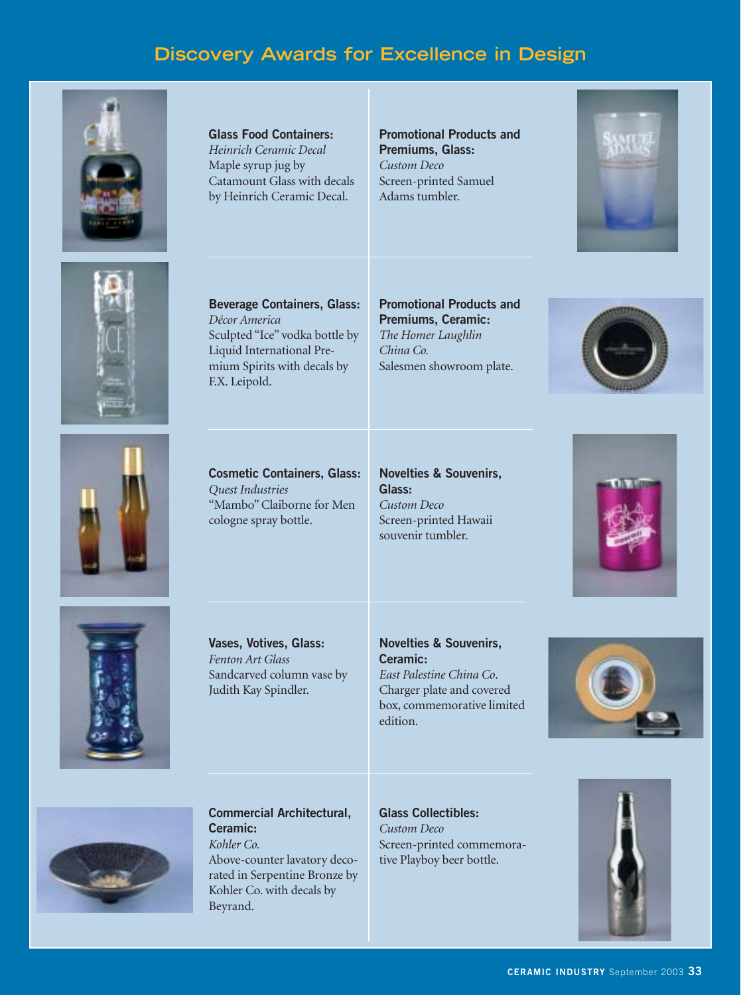# **Discovery Awards for Excellence in Design**



**Glass Food Containers:**  *Heinrich Ceramic Decal* Maple syrup jug by Catamount Glass with decals by Heinrich Ceramic Decal.

**Promotional Products and Premiums, Glass:**  *Custom Deco* Screen-printed Samuel Adams tumbler.





**Beverage Containers, Glass:**  *Décor America* Sculpted "Ice" vodka bottle by Liquid International Premium Spirits with decals by F.X. Leipold.

## **Promotional Products and Premiums, Ceramic:**  *The Homer Laughlin China Co.* Salesmen showroom plate.





**Cosmetic Containers, Glass:** *Quest Industries* "Mambo" Claiborne for Men cologne spray bottle.

**Novelties & Souvenirs, Glass:**  *Custom Deco* Screen-printed Hawaii souvenir tumbler.





**Vases, Votives, Glass:**  *Fenton Art Glass* Sandcarved column vase by Judith Kay Spindler.

## **Novelties & Souvenirs, Ceramic:**

*East Palestine China Co*. Charger plate and covered box, commemorative limited edition.





**Commercial Architectural, Ceramic:**  *Kohler Co.* Above-counter lavatory deco-

rated in Serpentine Bronze by Kohler Co. with decals by

Beyrand.

**Glass Collectibles:**  *Custom Deco* Screen-printed commemorative Playboy beer bottle.

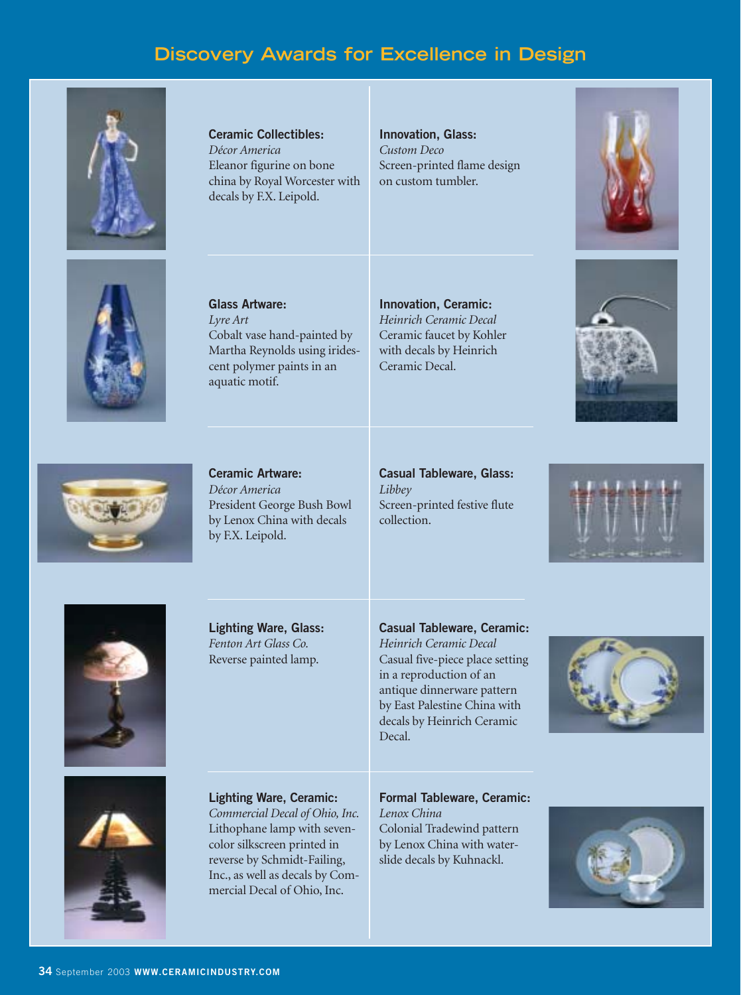# **Discovery Awards for Excellence in Design**



**Ceramic Collectibles:**  *Décor America* Eleanor figurine on bone china by Royal Worcester with decals by F.X. Leipold.

**Innovation, Glass:**  *Custom Deco* Screen-printed flame design on custom tumbler.





**Glass Artware:**  *Lyre Art* Cobalt vase hand-painted by Martha Reynolds using iridescent polymer paints in an aquatic motif.

**Innovation, Ceramic:**  *Heinrich Ceramic Decal* Ceramic faucet by Kohler with decals by Heinrich Ceramic Decal.





**Ceramic Artware:**  *Décor America* President George Bush Bowl by Lenox China with decals by F.X. Leipold.

**Casual Tableware, Glass:** *Libbey* Screen-printed festive flute collection.





**Lighting Ware, Glass:**  *Fenton Art Glass Co.* Reverse painted lamp.

**Casual Tableware, Ceramic:**

*Heinrich Ceramic Decal* Casual five-piece place setting in a reproduction of an antique dinnerware pattern by East Palestine China with decals by Heinrich Ceramic Decal.





**Lighting Ware, Ceramic:**

*Commercial Decal of Ohio, Inc.* Lithophane lamp with sevencolor silkscreen printed in reverse by Schmidt-Failing, Inc., as well as decals by Commercial Decal of Ohio, Inc.

**Formal Tableware, Ceramic:**

*Lenox China* Colonial Tradewind pattern by Lenox China with waterslide decals by Kuhnackl.